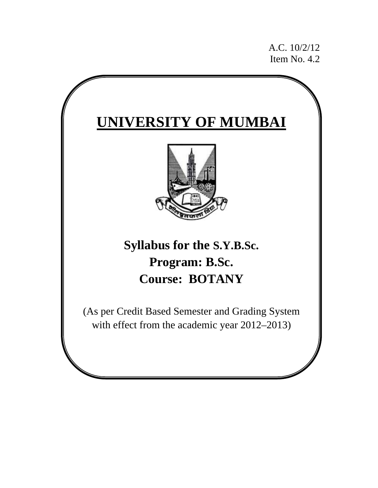A.C. 10/2/12 Item No. 4.2

# **UNIVERSITY OF MUMBAI Syllabus for the S.Y.B.Sc. Program: B.Sc. Course: BOTANY** (As per Credit Based Semester and Grading System with effect from the academic year 2012–2013)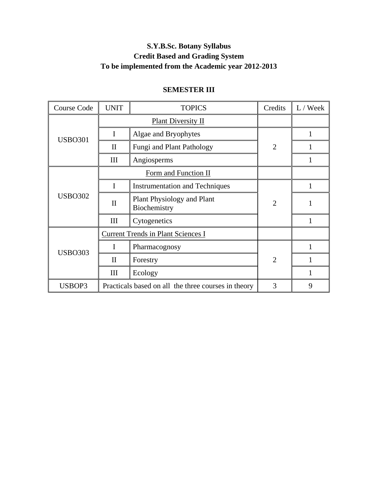# **S.Y.B.Sc. Botany Syllabus Credit Based and Grading System To be implemented from the Academic year 2012-2013**

| <b>Course Code</b> | <b>UNIT</b>  | <b>TOPICS</b>                                       | Credits        | L / Week |
|--------------------|--------------|-----------------------------------------------------|----------------|----------|
|                    |              | <b>Plant Diversity II</b>                           |                |          |
| <b>USBO301</b>     | I            | Algae and Bryophytes                                |                |          |
|                    | $\mathbf{I}$ | Fungi and Plant Pathology                           | $\overline{2}$ |          |
|                    | III          | Angiosperms                                         |                |          |
|                    |              | Form and Function II                                |                |          |
|                    |              | <b>Instrumentation and Techniques</b>               |                |          |
| <b>USBO302</b>     | $\mathbf{I}$ | <b>Plant Physiology and Plant</b><br>Biochemistry   | $\overline{2}$ |          |
|                    | III          | Cytogenetics                                        |                |          |
|                    |              | <b>Current Trends in Plant Sciences I</b>           |                |          |
| <b>USBO303</b>     |              | Pharmacognosy                                       |                |          |
|                    | $\mathbf{I}$ | Forestry                                            | $\overline{2}$ |          |
|                    | III          | Ecology                                             |                |          |
| USBOP3             |              | Practicals based on all the three courses in theory | 3              | 9        |

# **SEMESTER III**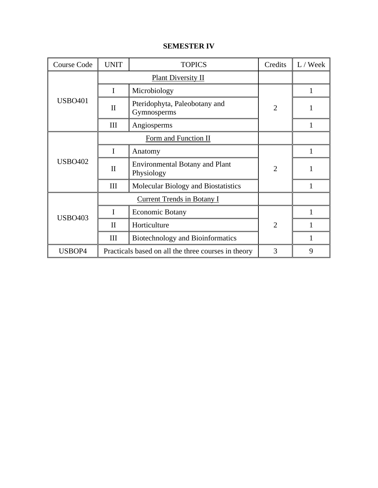| <b>Course Code</b> | <b>UNIT</b>  | <b>TOPICS</b>                                       | Credits        | L / Week |
|--------------------|--------------|-----------------------------------------------------|----------------|----------|
|                    |              | <b>Plant Diversity II</b>                           |                |          |
|                    | I            | Microbiology                                        |                | 1        |
| <b>USBO401</b>     | $\mathbf{I}$ | Pteridophyta, Paleobotany and<br>Gymnosperms        | $\overline{2}$ |          |
|                    | III          | Angiosperms                                         |                |          |
|                    |              | Form and Function II                                |                |          |
|                    | I            | Anatomy                                             |                |          |
| <b>USBO402</b>     | $\mathbf{I}$ | <b>Environmental Botany and Plant</b><br>Physiology | $\overline{2}$ |          |
|                    | III          | Molecular Biology and Biostatistics                 |                | 1        |
|                    |              | <b>Current Trends in Botany I</b>                   |                |          |
| <b>USBO403</b>     | I            | <b>Economic Botany</b>                              |                |          |
|                    | $\mathbf{I}$ | Horticulture                                        | $\overline{2}$ |          |
|                    | III          | <b>Biotechnology and Bioinformatics</b>             |                |          |
| USBOP4             |              | Practicals based on all the three courses in theory | 3              | 9        |

### **SEMESTER IV**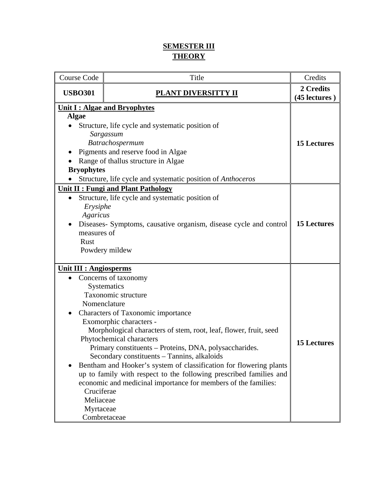# **SEMESTER III THEORY**

| Course Code                                                                                                                                                                                                                                                                                                                                                                                                                                                                                                                                      | Title                                                                                                                                                                                                                                                                                                                                                                                                                                                                                                                                                                               | Credits                                  |
|--------------------------------------------------------------------------------------------------------------------------------------------------------------------------------------------------------------------------------------------------------------------------------------------------------------------------------------------------------------------------------------------------------------------------------------------------------------------------------------------------------------------------------------------------|-------------------------------------------------------------------------------------------------------------------------------------------------------------------------------------------------------------------------------------------------------------------------------------------------------------------------------------------------------------------------------------------------------------------------------------------------------------------------------------------------------------------------------------------------------------------------------------|------------------------------------------|
| <b>USBO301</b>                                                                                                                                                                                                                                                                                                                                                                                                                                                                                                                                   | PLANT DIVERSITTY II                                                                                                                                                                                                                                                                                                                                                                                                                                                                                                                                                                 |                                          |
| Unit I : Algae and Bryophytes<br><b>Algae</b><br>Structure, life cycle and systematic position of<br>Sargassum<br>Batrachospermum<br>Pigments and reserve food in Algae<br>Range of thallus structure in Algae<br><b>Bryophytes</b><br>Structure, life cycle and systematic position of <i>Anthoceros</i><br><b>Unit II: Fungi and Plant Pathology</b><br>Structure, life cycle and systematic position of<br>Erysiphe<br>Agaricus<br>Diseases- Symptoms, causative organism, disease cycle and control<br>measures of<br>Rust<br>Powdery mildew |                                                                                                                                                                                                                                                                                                                                                                                                                                                                                                                                                                                     | <b>15 Lectures</b><br><b>15 Lectures</b> |
| <b>Unit III : Angiosperms</b><br>Cruciferae<br>Meliaceae<br>Myrtaceae                                                                                                                                                                                                                                                                                                                                                                                                                                                                            | Concerns of taxonomy<br>Systematics<br>Taxonomic structure<br>Nomenclature<br>Characters of Taxonomic importance<br>Exomorphic characters -<br>Morphological characters of stem, root, leaf, flower, fruit, seed<br>Phytochemical characters<br>Primary constituents – Proteins, DNA, polysaccharides.<br>Secondary constituents – Tannins, alkaloids<br>Bentham and Hooker's system of classification for flowering plants<br>up to family with respect to the following prescribed families and<br>economic and medicinal importance for members of the families:<br>Combretaceae | <b>15 Lectures</b>                       |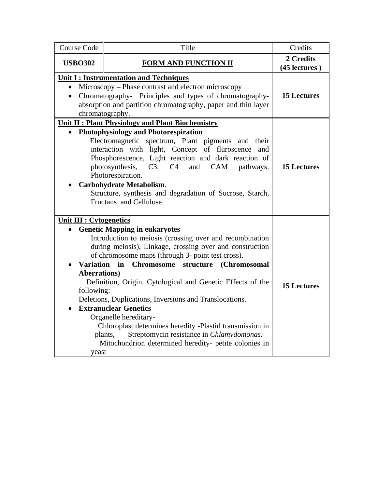| <b>Course Code</b>                                       | Title                                                                  | Credits                    |
|----------------------------------------------------------|------------------------------------------------------------------------|----------------------------|
| <b>USBO302</b>                                           | <b>FORM AND FUNCTION II</b>                                            | 2 Credits<br>(45 lectures) |
|                                                          | <b>Unit I: Instrumentation and Techniques</b>                          |                            |
|                                                          | Microscopy – Phase contrast and electron microscopy                    |                            |
|                                                          | Chromatography- Principles and types of chromatography-                | <b>15 Lectures</b>         |
|                                                          | absorption and partition chromatography, paper and thin layer          |                            |
|                                                          | chromatography.                                                        |                            |
|                                                          | Unit II : Plant Physiology and Plant Biochemistry                      |                            |
|                                                          | <b>Photophysiology and Photorespiration</b>                            |                            |
|                                                          | Electromagnetic spectrum, Plant pigments and their                     |                            |
|                                                          | interaction with light, Concept of fluroscence and                     |                            |
|                                                          | Phosphorescence, Light reaction and dark reaction of                   |                            |
|                                                          | photosynthesis, C3, C4<br>and<br>CAM<br>pathways,<br>Photorespiration. | <b>15 Lectures</b>         |
|                                                          | Carbohydrate Metabolism.                                               |                            |
|                                                          | Structure, synthesis and degradation of Sucrose, Starch,               |                            |
|                                                          | Fructans and Cellulose.                                                |                            |
|                                                          |                                                                        |                            |
| <b>Unit III : Cytogenetics</b>                           |                                                                        |                            |
|                                                          | <b>Genetic Mapping in eukaryotes</b>                                   |                            |
|                                                          | Introduction to meiosis (crossing over and recombination               |                            |
|                                                          | during meiosis), Linkage, crossing over and construction               |                            |
|                                                          | of chromosome maps (through 3- point test cross).                      |                            |
| <b>Variation</b>                                         | Chromosome structure (Chromosomal<br>in                                |                            |
| <b>Aberrations</b> )                                     |                                                                        |                            |
|                                                          | Definition, Origin, Cytological and Genetic Effects of the             | <b>15 Lectures</b>         |
| following:                                               | Deletions, Duplications, Inversions and Translocations.                |                            |
|                                                          | <b>Extranuclear Genetics</b>                                           |                            |
| Organelle hereditary-                                    |                                                                        |                            |
| Chloroplast determines heredity -Plastid transmission in |                                                                        |                            |
| Streptomycin resistance in Chlamydomonas.<br>plants,     |                                                                        |                            |
|                                                          | Mitochondrion determined heredity- petite colonies in                  |                            |
| yeast                                                    |                                                                        |                            |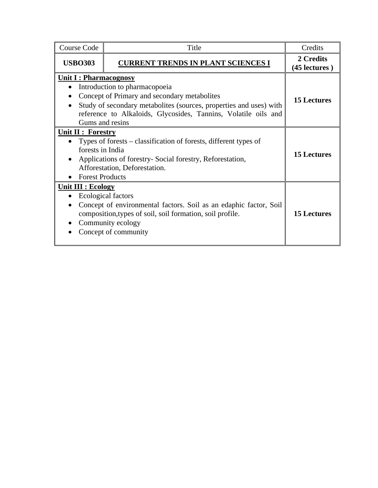| <b>Course Code</b>                                                      | Title                                                                                                                                                                                                                                    | Credits                    |
|-------------------------------------------------------------------------|------------------------------------------------------------------------------------------------------------------------------------------------------------------------------------------------------------------------------------------|----------------------------|
| <b>USBO303</b>                                                          | <b>CURRENT TRENDS IN PLANT SCIENCES I</b>                                                                                                                                                                                                | 2 Credits<br>(45 lectures) |
| <b>Unit I: Pharmacognosy</b><br>$\bullet$                               | Introduction to pharmacopoeia<br>Concept of Primary and secondary metabolites<br>Study of secondary metabolites (sources, properties and uses) with<br>reference to Alkaloids, Glycosides, Tannins, Volatile oils and<br>Gums and resins | <b>15 Lectures</b>         |
| <b>Unit II : Forestry</b><br>forests in India<br><b>Forest Products</b> | Types of forests – classification of forests, different types of<br>Applications of forestry-Social forestry, Reforestation,<br>Afforestation, Deforestation.                                                                            | <b>15 Lectures</b>         |
| <b>Unit III : Ecology</b><br>$\bullet$                                  | Ecological factors<br>Concept of environmental factors. Soil as an edaphic factor, Soil<br>composition, types of soil, soil formation, soil profile.<br>Community ecology<br>Concept of community                                        | <b>15 Lectures</b>         |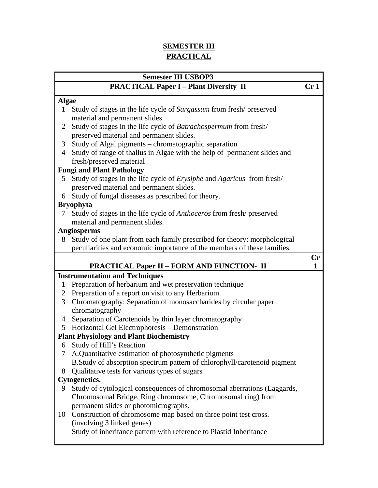# **SEMESTER III PRACTICAL**

| <b>Semester III USBOP3</b> |                                                                          |                        |
|----------------------------|--------------------------------------------------------------------------|------------------------|
|                            | <b>PRACTICAL Paper I - Plant Diversity II</b>                            | Cr <sub>1</sub>        |
| <b>Algae</b>               |                                                                          |                        |
| 1                          | Study of stages in the life cycle of Sargassum from fresh/preserved      |                        |
|                            | material and permanent slides.                                           |                        |
| 2                          | Study of stages in the life cycle of Batrachospermum from fresh/         |                        |
|                            | preserved material and permanent slides.                                 |                        |
| 3                          | Study of Algal pigments – chromatographic separation                     |                        |
| 4                          | Study of range of thallus in Algae with the help of permanent slides and |                        |
|                            | fresh/preserved material                                                 |                        |
|                            | <b>Fungi and Plant Pathology</b>                                         |                        |
| 5                          | Study of stages in the life cycle of Erysiphe and Agaricus from fresh/   |                        |
|                            | preserved material and permanent slides.                                 |                        |
| 6                          | Study of fungal diseases as prescribed for theory.                       |                        |
|                            | <b>Bryophyta</b>                                                         |                        |
| 7                          | Study of stages in the life cycle of Anthoceros from fresh/preserved     |                        |
|                            | material and permanent slides.                                           |                        |
|                            | <b>Angiosperms</b>                                                       |                        |
| 8                          | Study of one plant from each family prescribed for theory: morphological |                        |
|                            | peculiarities and economic importance of the members of these families.  |                        |
|                            |                                                                          | $\mathbf{C}\mathbf{r}$ |
|                            | <b>PRACTICAL Paper II - FORM AND FUNCTION- II</b>                        | 1                      |
|                            | <b>Instrumentation and Techniques</b>                                    |                        |
| 1                          | Preparation of herbarium and wet preservation technique                  |                        |
| $\mathbf{2}^-$             | Preparation of a report on visit to any Herbarium.                       |                        |
| 3 <sup>1</sup>             | Chromatography: Separation of monosaccharides by circular paper          |                        |
|                            | chromatography                                                           |                        |
| 4                          | Separation of Carotenoids by thin layer chromatography                   |                        |
|                            | 5 Horizontal Gel Electrophoresis - Demonstration                         |                        |
|                            | <b>Plant Physiology and Plant Biochemistry</b>                           |                        |
|                            | 6 Study of Hill's Reaction                                               |                        |
| 7                          | A.Quantitative estimation of photosynthetic pigments                     |                        |
|                            | B.Study of absorption spectrum pattern of chlorophyll/carotenoid pigment |                        |
| 8                          | Qualitative tests for various types of sugars                            |                        |
|                            | Cytogenetics.                                                            |                        |
| 9                          | Study of cytological consequences of chromosomal aberrations (Laggards,  |                        |
|                            | Chromosomal Bridge, Ring chromosome, Chromosomal ring) from              |                        |
|                            | permanent slides or photomicrographs.                                    |                        |
| 10                         | Construction of chromosome map based on three point test cross.          |                        |
|                            | (involving 3 linked genes)                                               |                        |

Study of inheritance pattern with reference to Plastid Inheritance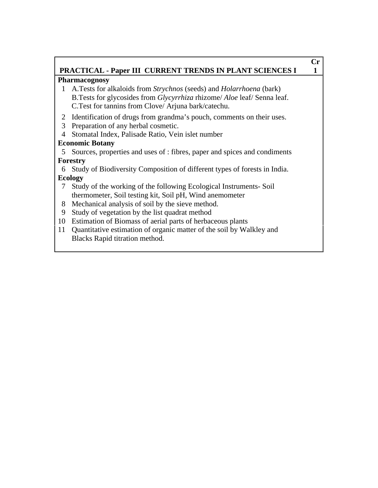# **PRACTICAL - Paper III CURRENT TRENDS IN PLANT SCIENCES I 1**

**Cr**

### **Pharmacognosy**

- 1 A.Tests for alkaloids from *Strychnos* (seeds) and *Holarrhoena* (bark) B.Tests for glycosides from *Glycyrrhiza* rhizome/ *Aloe* leaf/ Senna leaf. C.Test for tannins from Clove/ Arjuna bark/catechu.
- 2 Identification of drugs from grandma's pouch, comments on their uses.
- 3 Preparation of any herbal cosmetic.
- 4 Stomatal Index, Palisade Ratio, Vein islet number

# **Economic Botany**

5 Sources, properties and uses of : fibres, paper and spices and condiments **Forestry** 

6 Study of Biodiversity Composition of different types of forests in India. **Ecology** 

- 7 Study of the working of the following Ecological Instruments- Soil thermometer, Soil testing kit, Soil pH, Wind anemometer
- 8 Mechanical analysis of soil by the sieve method.
- 9 Study of vegetation by the list quadrat method
- 10 Estimation of Biomass of aerial parts of herbaceous plants
- 11 Quantitative estimation of organic matter of the soil by Walkley and Blacks Rapid titration method.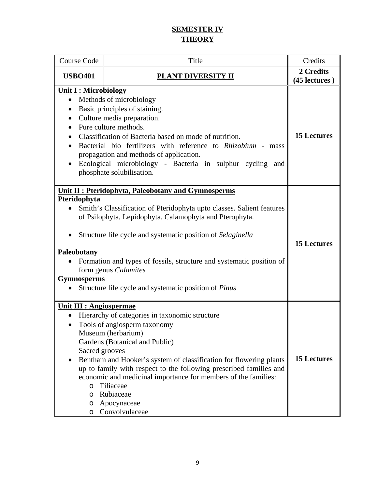# **SEMESTER IV THEORY**

| <b>Course Code</b>                                                                     | Title                                                                                                                                                                                                                                                                                                                                                                                                                        | Credits                    |
|----------------------------------------------------------------------------------------|------------------------------------------------------------------------------------------------------------------------------------------------------------------------------------------------------------------------------------------------------------------------------------------------------------------------------------------------------------------------------------------------------------------------------|----------------------------|
| <b>USBO401</b>                                                                         | <b>PLANT DIVERSITY II</b>                                                                                                                                                                                                                                                                                                                                                                                                    | 2 Credits<br>(45 lectures) |
| <b>Unit I: Microbiology</b><br>$\bullet$<br>$\bullet$                                  | • Methods of microbiology<br>Basic principles of staining.<br>Culture media preparation.<br>Pure culture methods.<br>Classification of Bacteria based on mode of nutrition.<br>Bacterial bio fertilizers with reference to Rhizobium - mass<br>propagation and methods of application.<br>Ecological microbiology - Bacteria in sulphur cycling and<br>phosphate solubilisation.                                             | <b>15 Lectures</b>         |
| Pteridophyta<br>Paleobotany<br><b>Gymnosperms</b><br>$\bullet$                         | <b>Unit II: Pteridophyta, Paleobotany and Gymnosperms</b><br>Smith's Classification of Pteridophyta upto classes. Salient features<br>of Psilophyta, Lepidophyta, Calamophyta and Pterophyta.<br>Structure life cycle and systematic position of Selaginella<br>Formation and types of fossils, structure and systematic position of<br>form genus Calamites<br>Structure life cycle and systematic position of <i>Pinus</i> | <b>15 Lectures</b>         |
| <b>Unit III : Angiospermae</b><br>Sacred grooves<br>$\circ$<br>$\circ$<br>$\circ$<br>O | Hierarchy of categories in taxonomic structure<br>Tools of angiosperm taxonomy<br>Museum (herbarium)<br>Gardens (Botanical and Public)<br>Bentham and Hooker's system of classification for flowering plants<br>up to family with respect to the following prescribed families and<br>economic and medicinal importance for members of the families:<br>Tiliaceae<br>Rubiaceae<br>Apocynaceae<br>Convolvulaceae              | <b>15 Lectures</b>         |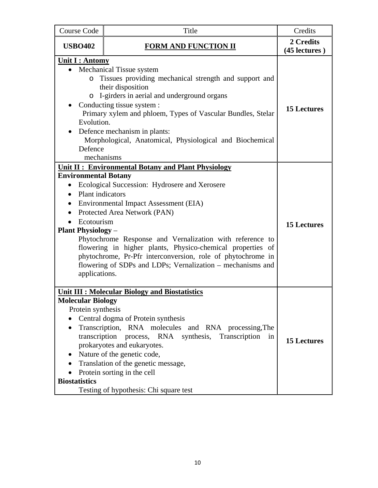| <b>Course Code</b>                                                                                                                                                                                                                                                                                                                                                                                                                                                                                                                                                                         | Title                                                                                                                                                                                                                                                                                                                                                                           | Credits                    |
|--------------------------------------------------------------------------------------------------------------------------------------------------------------------------------------------------------------------------------------------------------------------------------------------------------------------------------------------------------------------------------------------------------------------------------------------------------------------------------------------------------------------------------------------------------------------------------------------|---------------------------------------------------------------------------------------------------------------------------------------------------------------------------------------------------------------------------------------------------------------------------------------------------------------------------------------------------------------------------------|----------------------------|
| <b>USBO402</b>                                                                                                                                                                                                                                                                                                                                                                                                                                                                                                                                                                             | <b>FORM AND FUNCTION II</b>                                                                                                                                                                                                                                                                                                                                                     | 2 Credits<br>(45 lectures) |
| <u><b>Unit I: Antomy</b></u><br>$\bullet$<br>$\circ$<br>O<br>Evolution.<br>Defence<br>mechanisms                                                                                                                                                                                                                                                                                                                                                                                                                                                                                           | <b>Mechanical Tissue system</b><br>Tissues providing mechanical strength and support and<br>their disposition<br>I-girders in aerial and underground organs<br>Conducting tissue system :<br>Primary xylem and phloem, Types of Vascular Bundles, Stelar<br>Defence mechanism in plants:<br>Morphological, Anatomical, Physiological and Biochemical                            | <b>15 Lectures</b>         |
| <b>Unit II: Environmental Botany and Plant Physiology</b><br><b>Environmental Botany</b><br>Ecological Succession: Hydrosere and Xerosere<br>$\bullet$<br><b>Plant</b> indicators<br>Environmental Impact Assessment (EIA)<br>$\bullet$<br>Protected Area Network (PAN)<br>Ecotourism<br><b>Plant Physiology –</b><br>Phytochrome Response and Vernalization with reference to<br>flowering in higher plants, Physico-chemical properties of<br>phytochrome, Pr-Pfr interconversion, role of phytochrome in<br>flowering of SDPs and LDPs; Vernalization – mechanisms and<br>applications. |                                                                                                                                                                                                                                                                                                                                                                                 | <b>15 Lectures</b>         |
| <b>Molecular Biology</b><br>Protein synthesis<br>transcription<br>$\bullet$<br><b>Biostatistics</b>                                                                                                                                                                                                                                                                                                                                                                                                                                                                                        | <b>Unit III: Molecular Biology and Biostatistics</b><br>Central dogma of Protein synthesis<br>Transcription, RNA molecules and RNA processing, The<br>process, RNA synthesis, Transcription<br>in<br>prokaryotes and eukaryotes.<br>Nature of the genetic code,<br>Translation of the genetic message,<br>Protein sorting in the cell<br>Testing of hypothesis: Chi square test | <b>15 Lectures</b>         |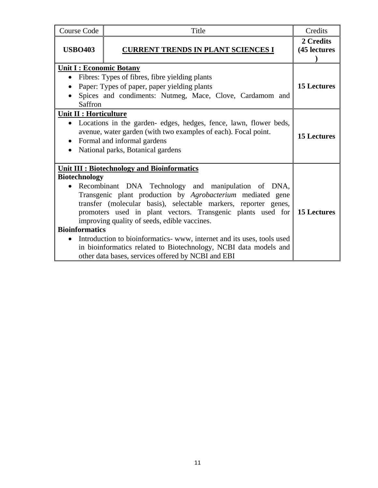| <b>Course Code</b>                               | Title                                                                                                                                                                                                                                                                                                                                                                                                                                                                                                                                                       | Credits                   |
|--------------------------------------------------|-------------------------------------------------------------------------------------------------------------------------------------------------------------------------------------------------------------------------------------------------------------------------------------------------------------------------------------------------------------------------------------------------------------------------------------------------------------------------------------------------------------------------------------------------------------|---------------------------|
| <b>USBO403</b>                                   | <b>CURRENT TRENDS IN PLANT SCIENCES I</b>                                                                                                                                                                                                                                                                                                                                                                                                                                                                                                                   | 2 Credits<br>(45 lectures |
| <b>Unit I: Economic Botany</b><br>Saffron        | Fibres: Types of fibres, fibre yielding plants<br>Paper: Types of paper, paper yielding plants<br>Spices and condiments: Nutmeg, Mace, Clove, Cardamom and                                                                                                                                                                                                                                                                                                                                                                                                  | <b>15 Lectures</b>        |
| Unit II : Horticulture<br>$\bullet$<br>$\bullet$ | • Locations in the garden-edges, hedges, fence, lawn, flower beds,<br>avenue, water garden (with two examples of each). Focal point.<br>Formal and informal gardens<br>National parks, Botanical gardens                                                                                                                                                                                                                                                                                                                                                    | <b>15 Lectures</b>        |
| <b>Biotechnology</b><br><b>Bioinformatics</b>    | <b>Unit III: Biotechnology and Bioinformatics</b><br>Recombinant DNA Technology and manipulation of DNA,<br>Transgenic plant production by Agrobacterium mediated gene<br>transfer (molecular basis), selectable markers, reporter genes,<br>promoters used in plant vectors. Transgenic plants used for<br>improving quality of seeds, edible vaccines.<br>Introduction to bioinformatics-www, internet and its uses, tools used<br>in bioinformatics related to Biotechnology, NCBI data models and<br>other data bases, services offered by NCBI and EBI | <b>15 Lectures</b>        |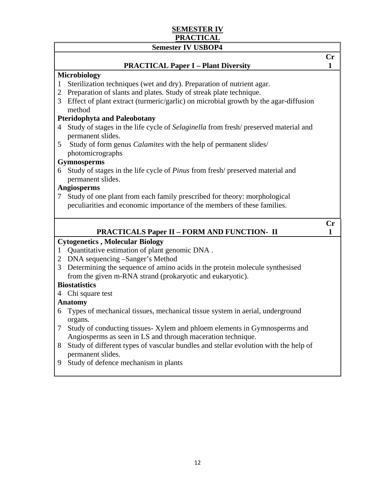# **SEMESTER IV PRACTICAL**

## **Semester IV USBOP4 Cr PRACTICAL Paper I – Plant Diversity 1 Microbiology**  1 Sterilization techniques (wet and dry). Preparation of nutrient agar. 2 Preparation of slants and plates. Study of streak plate technique. 3 Effect of plant extract (turmeric/garlic) on microbial growth by the agar-diffusion method **Pteridophyta and Paleobotany**  4 Study of stages in the life cycle of *Selaginella* from fresh/ preserved material and permanent slides. 5 Study of form genus *Calamites* with the help of permanent slides/ photomicrographs **Gymnosperms**  6 Study of stages in the life cycle of *Pinus* from fresh/ preserved material and permanent slides. **Angiosperms**  7 Study of one plant from each family prescribed for theory: morphological peculiarities and economic importance of the members of these families.  **Cr PRACTICALS Paper II – FORM AND FUNCTION- II** 1 **Cytogenetics , Molecular Biology**  1 Quantitative estimation of plant genomic DNA . 2 DNA sequencing –Sanger's Method 3 Determining the sequence of amino acids in the protein molecule synthesised from the given m-RNA strand (prokaryotic and eukaryotic). **Biostatistics** 4 Chi square test **Anatomy**  6 Types of mechanical tissues, mechanical tissue system in aerial, underground organs.

- 7 Study of conducting tissues- Xylem and phloem elements in Gymnosperms and Angiosperms as seen in LS and through maceration technique.
- 8 Study of different types of vascular bundles and stellar evolution with the help of permanent slides.
- 9 Study of defence mechanism in plants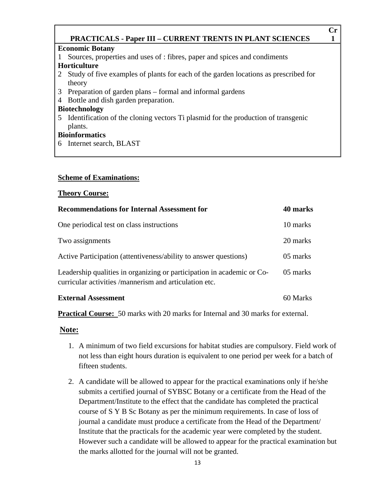### **Cr PRACTICALS - Paper III – CURRENT TRENTS IN PLANT SCIENCES** 1

### **Economic Botany**

- 1 Sources, properties and uses of : fibres, paper and spices and condiments **Horticulture**
- 2 Study of five examples of plants for each of the garden locations as prescribed for theory
- 3 Preparation of garden plans formal and informal gardens
- 4 Bottle and dish garden preparation.

### **Biotechnology**

5 Identification of the cloning vectors Ti plasmid for the production of transgenic plants.

### **Bioinformatics**

6 Internet search, BLAST

### **Scheme of Examinations:**

### **Theory Course:**

| <b>Recommendations for Internal Assessment for</b>                                                                               | 40 marks |
|----------------------------------------------------------------------------------------------------------------------------------|----------|
| One periodical test on class instructions                                                                                        | 10 marks |
| Two assignments                                                                                                                  | 20 marks |
| Active Participation (attentiveness/ability to answer questions)                                                                 | 05 marks |
| Leadership qualities in organizing or participation in academic or Co-<br>curricular activities /mannerism and articulation etc. | 05 marks |
| <b>External Assessment</b>                                                                                                       | 60 Marks |

**Practical Course:** 50 marks with 20 marks for Internal and 30 marks for external.

### **Note:**

- 1. A minimum of two field excursions for habitat studies are compulsory. Field work of not less than eight hours duration is equivalent to one period per week for a batch of fifteen students.
- 2. A candidate will be allowed to appear for the practical examinations only if he/she submits a certified journal of SYBSC Botany or a certificate from the Head of the Department/Institute to the effect that the candidate has completed the practical course of S Y B Sc Botany as per the minimum requirements. In case of loss of journal a candidate must produce a certificate from the Head of the Department/ Institute that the practicals for the academic year were completed by the student. However such a candidate will be allowed to appear for the practical examination but the marks allotted for the journal will not be granted.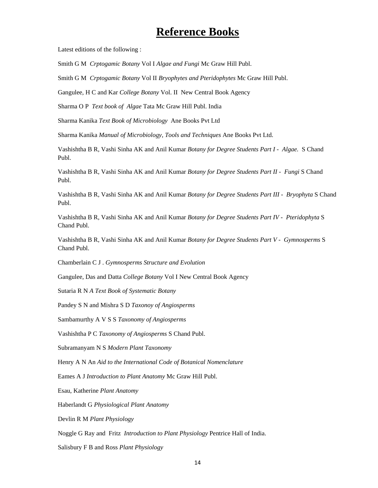# **Reference Books**

Latest editions of the following :

Smith G M *Crptogamic Botany* Vol I *Algae and Fungi* Mc Graw Hill Publ.

Smith G M *Crptogamic Botany* Vol II *Bryophytes and Pteridophytes* Mc Graw Hill Publ.

Gangulee, H C and Kar *College Botany* Vol. II New Central Book Agency

Sharma O P *Text book of Algae* Tata Mc Graw Hill Publ. India

Sharma Kanika *Text Book of Microbiology* Ane Books Pvt Ltd

Sharma Kanika *Manual of Microbiology, Tools and Techniques* Ane Books Pvt Ltd.

Vashishtha B R, Vashi Sinha AK and Anil Kumar *Botany for Degree Students Part I - Algae.* S Chand Publ.

Vashishtha B R, Vashi Sinha AK and Anil Kumar *Botany for Degree Students Part II - Fungi* S Chand Publ.

Vashishtha B R, Vashi Sinha AK and Anil Kumar *Botany for Degree Students Part III - Bryophyta* S Chand Publ.

Vashishtha B R, Vashi Sinha AK and Anil Kumar *Botany for Degree Students Part IV - Pteridophyta* S Chand Publ.

Vashishtha B R, Vashi Sinha AK and Anil Kumar *Botany for Degree Students Part V - Gymnosperms* S Chand Publ.

Chamberlain C J . *Gymnosperms Structure and Evolution* 

Gangulee, Das and Datta *College Botany* Vol I New Central Book Agency

Sutaria R N *A Text Book of Systematic Botany*

Pandey S N and Mishra S D *Taxonoy of Angiosperms* 

Sambamurthy A V S S *Taxonomy of Angiosperms*

Vashishtha P C *Taxonomy of Angiosperms* S Chand Publ.

Subramanyam N S *Modern Plant Taxonomy* 

Henry A N An *Aid to the International Code of Botanical Nomenclature*

Eames A J *Introduction to Plant Anatomy* Mc Graw Hill Publ.

Esau, Katherine *Plant Anatomy* 

Haberlandt G *Physiological Plant Anatomy*

Devlin R M *Plant Physiology* 

Noggle G Ray and Fritz *Introduction to Plant Physiology* Pentrice Hall of India.

Salisbury F B and Ross *Plant Physiology*